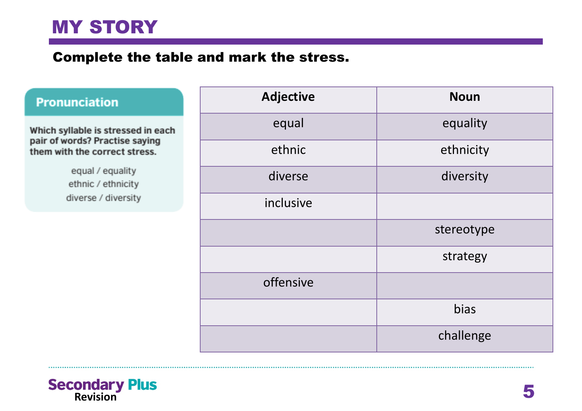#### Complete the table and mark the stress.

#### **Pronunciation**

Which syllable is stressed in each pair of words? Practise saying them with the correct stress.

> equal / equality ethnic / ethnicity diverse / diversity

| <b>Adjective</b> | <b>Noun</b> |
|------------------|-------------|
| equal            | equality    |
| ethnic           | ethnicity   |
| diverse          | diversity   |
| inclusive        |             |
|                  | stereotype  |
|                  | strategy    |
| offensive        |             |
|                  | bias        |
|                  | challenge   |

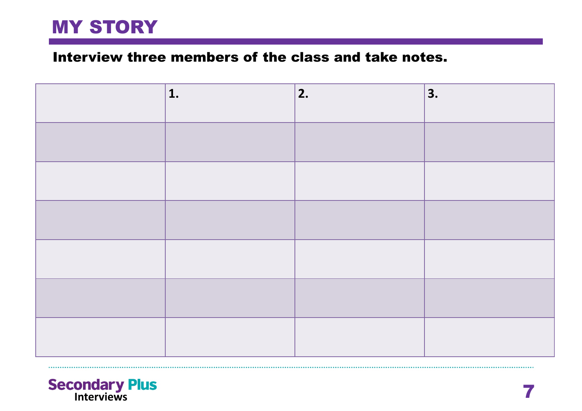#### Interview three members of the class and take notes.

| 1. | 2. | 3. |
|----|----|----|
|    |    |    |
|    |    |    |
|    |    |    |
|    |    |    |
|    |    |    |
|    |    |    |

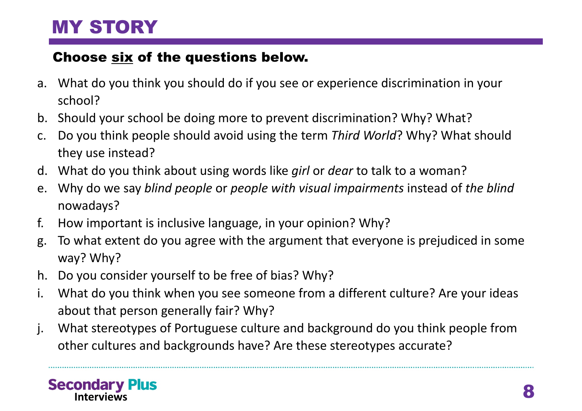### Choose six of the questions below.

- a. What do you think you should do if you see or experience discrimination in your school?
- b. Should your school be doing more to prevent discrimination? Why? What?
- c. Do you think people should avoid using the term *Third World*? Why? What should they use instead?
- d. What do you think about using words like *girl* or *dear* to talk to a woman?
- e. Why do we say *blind people* or *people with visual impairments* instead of *the blind*  nowadays?
- f. How important is inclusive language, in your opinion? Why?
- g. To what extent do you agree with the argument that everyone is prejudiced in some way? Why?
- h. Do you consider yourself to be free of bias? Why?
- i. What do you think when you see someone from a different culture? Are your ideas about that person generally fair? Why?
- j. What stereotypes of Portuguese culture and background do you think people from other cultures and backgrounds have? Are these stereotypes accurate?

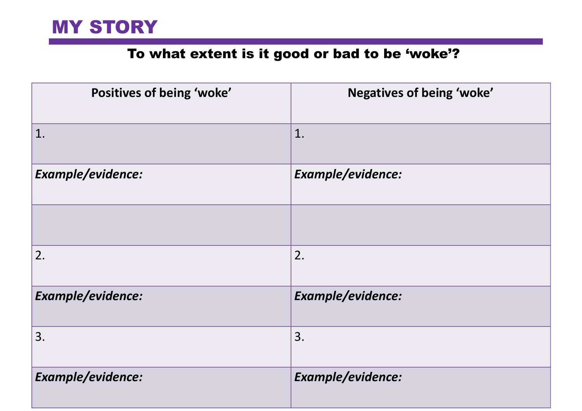### To what extent is it good or bad to be 'woke'?

| Positives of being 'woke' | Negatives of being 'woke' |
|---------------------------|---------------------------|
| 1.                        | 1.                        |
| Example/evidence:         | Example/evidence:         |
|                           |                           |
| 2.                        | 2.                        |
| Example/evidence:         | Example/evidence:         |
| 3.                        | 3.                        |
| Example/evidence:         | Example/evidence:         |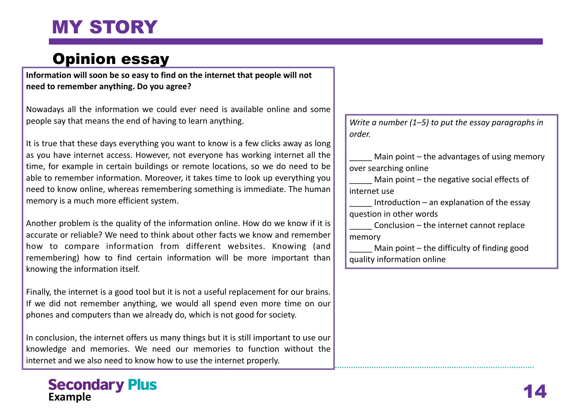### Opinion essay

**Information will soon be so easy to find on the internet that people will not need to remember anything. Do you agree?**

Nowadays all the information we could ever need is available online and some people say that means the end of having to learn anything.

It is true that these days everything you want to know is a few clicks away as long as you have internet access. However, not everyone has working internet all the time, for example in certain buildings or remote locations, so we do need to be able to remember information. Moreover, it takes time to look up everything you need to know online, whereas remembering something is immediate. The human memory is a much more efficient system.

Another problem is the quality of the information online. How do we know if it is accurate or reliable? We need to think about other facts we know and remember how to compare information from different websites. Knowing (and remembering) how to find certain information will be more important than knowing the information itself.

Finally, the internet is a good tool but it is not a useful replacement for our brains. If we did not remember anything, we would all spend even more time on our phones and computers than we already do, which is not good for society.

In conclusion, the internet offers us many things but it is still important to use our knowledge and memories. We need our memories to function without the internet and we also need to know how to use the internet properly.

#### **Secondary Plus Example**

*Write a number (1–5) to put the essay paragraphs in order.*

Main point – the advantages of using memory over searching online

Main point – the negative social effects of internet use

Introduction – an explanation of the essay question in other words

 $Conclusion -$  the internet cannot replace memory

Main point – the difficulty of finding good quality information online